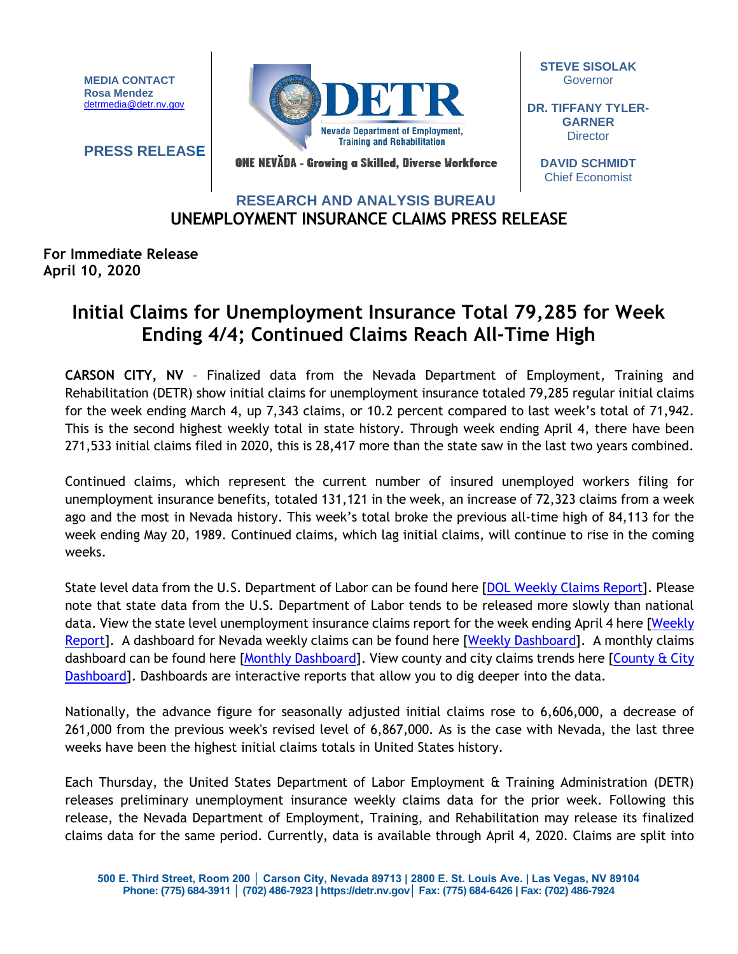**MEDIA CONTACT Rosa Mendez**  [detrmedia@detr.nv.gov](mailto:detrmedia@detr.nv.gov)

**PRESS RELEASE**



**STEVE SISOLAK Governor** 

**DR. TIFFANY TYLER-GARNER Director** 

ONE NEVĂDA - Growing a Skilled, Diverse Workforce

**DAVID SCHMIDT**  Chief Economist

## **RESEARCH AND ANALYSIS BUREAU UNEMPLOYMENT INSURANCE CLAIMS PRESS RELEASE**

## **For Immediate Release April 10, 2020**

## **Initial Claims for Unemployment Insurance Total 79,285 for Week Ending 4/4; Continued Claims Reach All-Time High**

**CARSON CITY, NV** – Finalized data from the Nevada Department of Employment, Training and Rehabilitation (DETR) show initial claims for unemployment insurance totaled 79,285 regular initial claims for the week ending March 4, up 7,343 claims, or 10.2 percent compared to last week's total of 71,942. This is the second highest weekly total in state history. Through week ending April 4, there have been 271,533 initial claims filed in 2020, this is 28,417 more than the state saw in the last two years combined.

Continued claims, which represent the current number of insured unemployed workers filing for unemployment insurance benefits, totaled 131,121 in the week, an increase of 72,323 claims from a week ago and the most in Nevada history. This week's total broke the previous all-time high of 84,113 for the week ending May 20, 1989. Continued claims, which lag initial claims, will continue to rise in the coming weeks.

State level data from the U.S. Department of Labor can be found here [\[DOL Weekly Claims Report\]](https://oui.doleta.gov/unemploy/claims_arch.asp). Please note that state data from the U.S. Department of Labor tends to be released more slowly than national data. View the state level unemployment insurance claims report for the week ending April 4 here [\[Weekly](http://nvlmi.mt.gov/Portals/197/UI%20Monthly%20Claims%20Press%20Release/Dashboards/State%20of%20Nevada%20UI%20Weekly%20Filing%20Report.pdf)  [Report\]](http://nvlmi.mt.gov/Portals/197/UI%20Monthly%20Claims%20Press%20Release/Dashboards/State%20of%20Nevada%20UI%20Weekly%20Filing%20Report.pdf). A dashboard for Nevada weekly claims can be found here [\[Weekly Dashboard\]](http://nvlmi.mt.gov/Portals/197/UI%20Monthly%20Claims%20Press%20Release/Dashboards/UIWeeklyDashboard.html). A monthly claims dashboard can be found here [\[Monthly Dashboard\]](http://nvlmi.mt.gov/Portals/197/UI%20Monthly%20Claims%20Press%20Release/Dashboards/UIMonthlyDashboard.html). View county and city claims trends here [\[County & City](http://nvlmi.mt.gov/Portals/197/UI%20Monthly%20Claims%20Press%20Release/Dashboards/UIClaimsbyArea.html)  [Dashboard\]](http://nvlmi.mt.gov/Portals/197/UI%20Monthly%20Claims%20Press%20Release/Dashboards/UIClaimsbyArea.html). Dashboards are interactive reports that allow you to dig deeper into the data.

Nationally, the advance figure for seasonally adjusted initial claims rose to 6,606,000, a decrease of 261,000 from the previous week's revised level of 6,867,000. As is the case with Nevada, the last three weeks have been the highest initial claims totals in United States history.

Each Thursday, the United States Department of Labor Employment & Training Administration (DETR) releases preliminary unemployment insurance weekly claims data for the prior week. Following this release, the Nevada Department of Employment, Training, and Rehabilitation may release its finalized claims data for the same period. Currently, data is available through April 4, 2020. Claims are split into